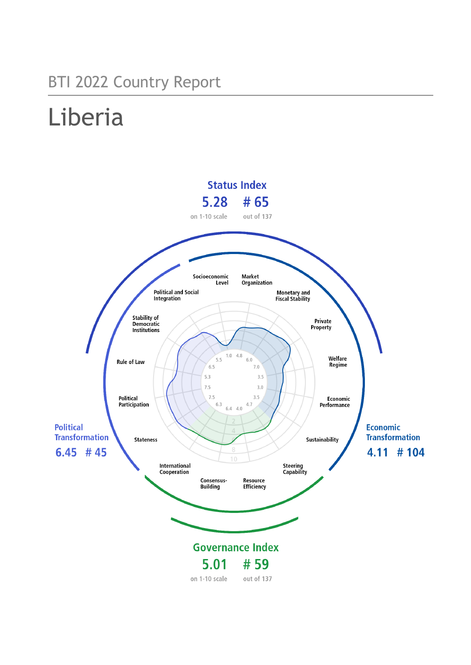## BTI 2022 Country Report

# Liberia

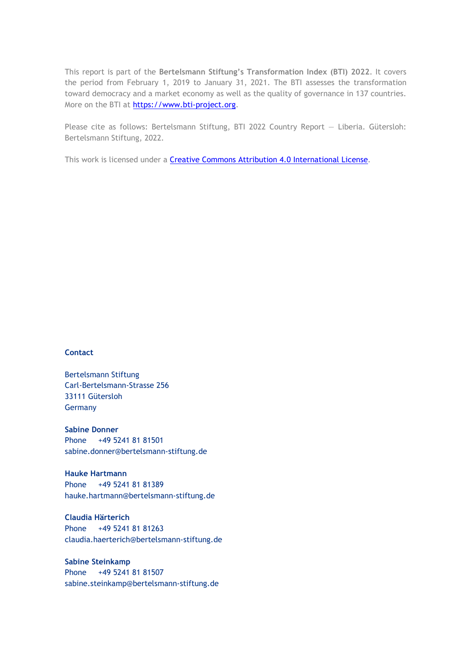This report is part of the **Bertelsmann Stiftung's Transformation Index (BTI) 2022**. It covers the period from February 1, 2019 to January 31, 2021. The BTI assesses the transformation toward democracy and a market economy as well as the quality of governance in 137 countries. More on the BTI at [https://www.bti-project.org.](https://www.bti-project.org/)

Please cite as follows: Bertelsmann Stiftung, BTI 2022 Country Report — Liberia. Gütersloh: Bertelsmann Stiftung, 2022.

This work is licensed under a **Creative Commons Attribution 4.0 International License**.

### **Contact**

Bertelsmann Stiftung Carl-Bertelsmann-Strasse 256 33111 Gütersloh Germany

**Sabine Donner** Phone +49 5241 81 81501 sabine.donner@bertelsmann-stiftung.de

**Hauke Hartmann** Phone +49 5241 81 81389 hauke.hartmann@bertelsmann-stiftung.de

**Claudia Härterich** Phone +49 5241 81 81263 claudia.haerterich@bertelsmann-stiftung.de

### **Sabine Steinkamp** Phone +49 5241 81 81507 sabine.steinkamp@bertelsmann-stiftung.de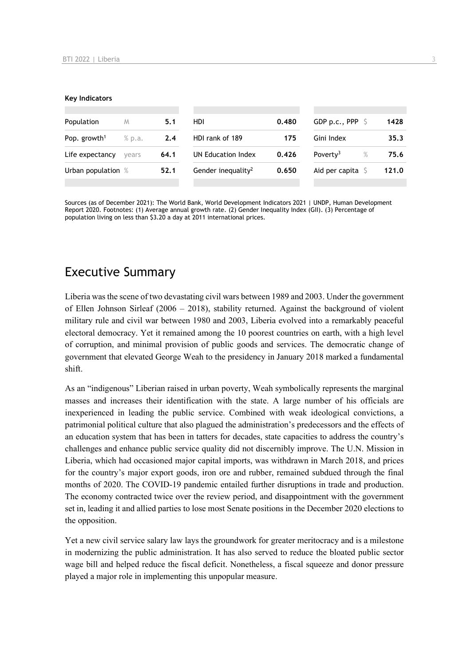#### **Key Indicators**

| Population                         | M     | 5.1  | HDI                            | 0.480 | GDP p.c., PPP $\ S$       | 1428  |
|------------------------------------|-------|------|--------------------------------|-------|---------------------------|-------|
| Pop. growth <sup>1</sup><br>% p.a. |       | 2.4  | HDI rank of 189<br>175         |       | Gini Index                | 35.3  |
| Life expectancy                    | vears | 64.1 | UN Education Index             | 0.426 | Poverty <sup>3</sup><br>% | 75.6  |
| Urban population %                 |       | 52.1 | Gender inequality <sup>2</sup> | 0.650 | Aid per capita            | 121.0 |
|                                    |       |      |                                |       |                           |       |

Sources (as of December 2021): The World Bank, World Development Indicators 2021 | UNDP, Human Development Report 2020. Footnotes: (1) Average annual growth rate. (2) Gender Inequality Index (GII). (3) Percentage of population living on less than \$3.20 a day at 2011 international prices.

### Executive Summary

Liberia was the scene of two devastating civil wars between 1989 and 2003. Under the government of Ellen Johnson Sirleaf (2006 – 2018), stability returned. Against the background of violent military rule and civil war between 1980 and 2003, Liberia evolved into a remarkably peaceful electoral democracy. Yet it remained among the 10 poorest countries on earth, with a high level of corruption, and minimal provision of public goods and services. The democratic change of government that elevated George Weah to the presidency in January 2018 marked a fundamental shift.

As an "indigenous" Liberian raised in urban poverty, Weah symbolically represents the marginal masses and increases their identification with the state. A large number of his officials are inexperienced in leading the public service. Combined with weak ideological convictions, a patrimonial political culture that also plagued the administration's predecessors and the effects of an education system that has been in tatters for decades, state capacities to address the country's challenges and enhance public service quality did not discernibly improve. The U.N. Mission in Liberia, which had occasioned major capital imports, was withdrawn in March 2018, and prices for the country's major export goods, iron ore and rubber, remained subdued through the final months of 2020. The COVID-19 pandemic entailed further disruptions in trade and production. The economy contracted twice over the review period, and disappointment with the government set in, leading it and allied parties to lose most Senate positions in the December 2020 elections to the opposition.

Yet a new civil service salary law lays the groundwork for greater meritocracy and is a milestone in modernizing the public administration. It has also served to reduce the bloated public sector wage bill and helped reduce the fiscal deficit. Nonetheless, a fiscal squeeze and donor pressure played a major role in implementing this unpopular measure.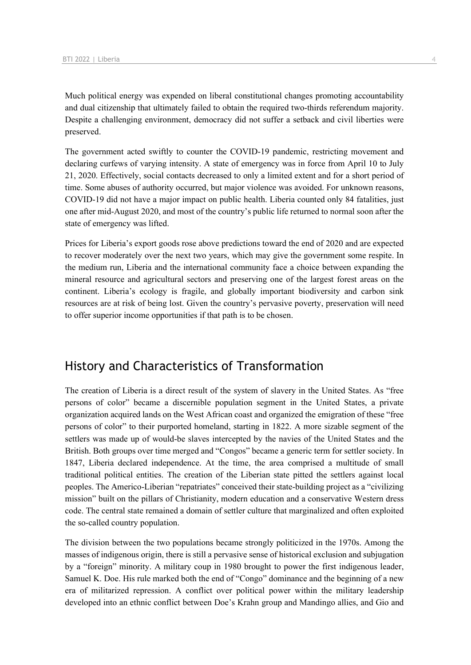Much political energy was expended on liberal constitutional changes promoting accountability and dual citizenship that ultimately failed to obtain the required two-thirds referendum majority. Despite a challenging environment, democracy did not suffer a setback and civil liberties were preserved.

The government acted swiftly to counter the COVID-19 pandemic, restricting movement and declaring curfews of varying intensity. A state of emergency was in force from April 10 to July 21, 2020. Effectively, social contacts decreased to only a limited extent and for a short period of time. Some abuses of authority occurred, but major violence was avoided. For unknown reasons, COVID-19 did not have a major impact on public health. Liberia counted only 84 fatalities, just one after mid-August 2020, and most of the country's public life returned to normal soon after the state of emergency was lifted.

Prices for Liberia's export goods rose above predictions toward the end of 2020 and are expected to recover moderately over the next two years, which may give the government some respite. In the medium run, Liberia and the international community face a choice between expanding the mineral resource and agricultural sectors and preserving one of the largest forest areas on the continent. Liberia's ecology is fragile, and globally important biodiversity and carbon sink resources are at risk of being lost. Given the country's pervasive poverty, preservation will need to offer superior income opportunities if that path is to be chosen.

### History and Characteristics of Transformation

The creation of Liberia is a direct result of the system of slavery in the United States. As "free persons of color" became a discernible population segment in the United States, a private organization acquired lands on the West African coast and organized the emigration of these "free persons of color" to their purported homeland, starting in 1822. A more sizable segment of the settlers was made up of would-be slaves intercepted by the navies of the United States and the British. Both groups over time merged and "Congos" became a generic term for settler society. In 1847, Liberia declared independence. At the time, the area comprised a multitude of small traditional political entities. The creation of the Liberian state pitted the settlers against local peoples. The Americo-Liberian "repatriates" conceived their state-building project as a "civilizing mission" built on the pillars of Christianity, modern education and a conservative Western dress code. The central state remained a domain of settler culture that marginalized and often exploited the so-called country population.

The division between the two populations became strongly politicized in the 1970s. Among the masses of indigenous origin, there is still a pervasive sense of historical exclusion and subjugation by a "foreign" minority. A military coup in 1980 brought to power the first indigenous leader, Samuel K. Doe. His rule marked both the end of "Congo" dominance and the beginning of a new era of militarized repression. A conflict over political power within the military leadership developed into an ethnic conflict between Doe's Krahn group and Mandingo allies, and Gio and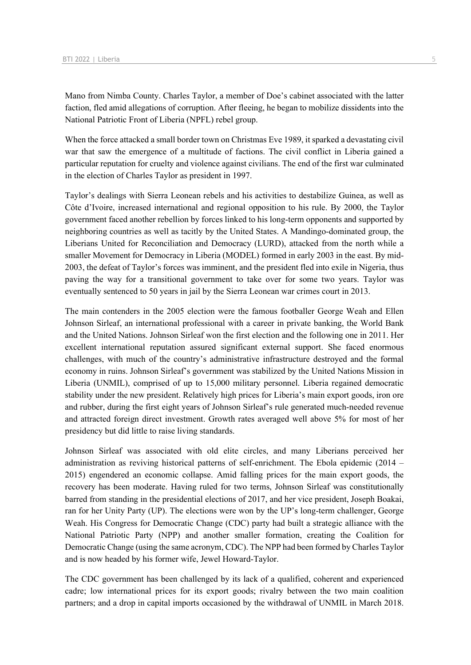Mano from Nimba County. Charles Taylor, a member of Doe's cabinet associated with the latter faction, fled amid allegations of corruption. After fleeing, he began to mobilize dissidents into the National Patriotic Front of Liberia (NPFL) rebel group.

When the force attacked a small border town on Christmas Eve 1989, it sparked a devastating civil war that saw the emergence of a multitude of factions. The civil conflict in Liberia gained a particular reputation for cruelty and violence against civilians. The end of the first war culminated in the election of Charles Taylor as president in 1997.

Taylor's dealings with Sierra Leonean rebels and his activities to destabilize Guinea, as well as Côte d'Ivoire, increased international and regional opposition to his rule. By 2000, the Taylor government faced another rebellion by forces linked to his long-term opponents and supported by neighboring countries as well as tacitly by the United States. A Mandingo-dominated group, the Liberians United for Reconciliation and Democracy (LURD), attacked from the north while a smaller Movement for Democracy in Liberia (MODEL) formed in early 2003 in the east. By mid-2003, the defeat of Taylor's forces was imminent, and the president fled into exile in Nigeria, thus paving the way for a transitional government to take over for some two years. Taylor was eventually sentenced to 50 years in jail by the Sierra Leonean war crimes court in 2013.

The main contenders in the 2005 election were the famous footballer George Weah and Ellen Johnson Sirleaf, an international professional with a career in private banking, the World Bank and the United Nations. Johnson Sirleaf won the first election and the following one in 2011. Her excellent international reputation assured significant external support. She faced enormous challenges, with much of the country's administrative infrastructure destroyed and the formal economy in ruins. Johnson Sirleaf's government was stabilized by the United Nations Mission in Liberia (UNMIL), comprised of up to 15,000 military personnel. Liberia regained democratic stability under the new president. Relatively high prices for Liberia's main export goods, iron ore and rubber, during the first eight years of Johnson Sirleaf's rule generated much-needed revenue and attracted foreign direct investment. Growth rates averaged well above 5% for most of her presidency but did little to raise living standards.

Johnson Sirleaf was associated with old elite circles, and many Liberians perceived her administration as reviving historical patterns of self-enrichment. The Ebola epidemic (2014 – 2015) engendered an economic collapse. Amid falling prices for the main export goods, the recovery has been moderate. Having ruled for two terms, Johnson Sirleaf was constitutionally barred from standing in the presidential elections of 2017, and her vice president, Joseph Boakai, ran for her Unity Party (UP). The elections were won by the UP's long-term challenger, George Weah. His Congress for Democratic Change (CDC) party had built a strategic alliance with the National Patriotic Party (NPP) and another smaller formation, creating the Coalition for Democratic Change (using the same acronym, CDC). The NPP had been formed by Charles Taylor and is now headed by his former wife, Jewel Howard-Taylor.

The CDC government has been challenged by its lack of a qualified, coherent and experienced cadre; low international prices for its export goods; rivalry between the two main coalition partners; and a drop in capital imports occasioned by the withdrawal of UNMIL in March 2018.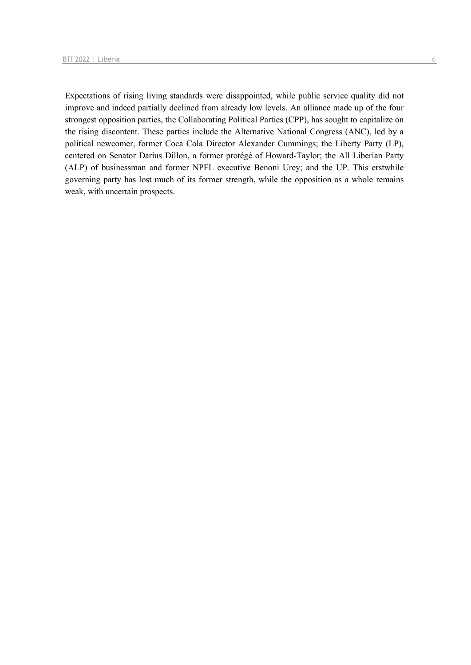Expectations of rising living standards were disappointed, while public service quality did not improve and indeed partially declined from already low levels. An alliance made up of the four strongest opposition parties, the Collaborating Political Parties (CPP), has sought to capitalize on the rising discontent. These parties include the Alternative National Congress (ANC), led by a political newcomer, former Coca Cola Director Alexander Cummings; the Liberty Party (LP), centered on Senator Darius Dillon, a former protégé of Howard-Taylor; the All Liberian Party (ALP) of businessman and former NPFL executive Benoni Urey; and the UP. This erstwhile governing party has lost much of its former strength, while the opposition as a whole remains weak, with uncertain prospects.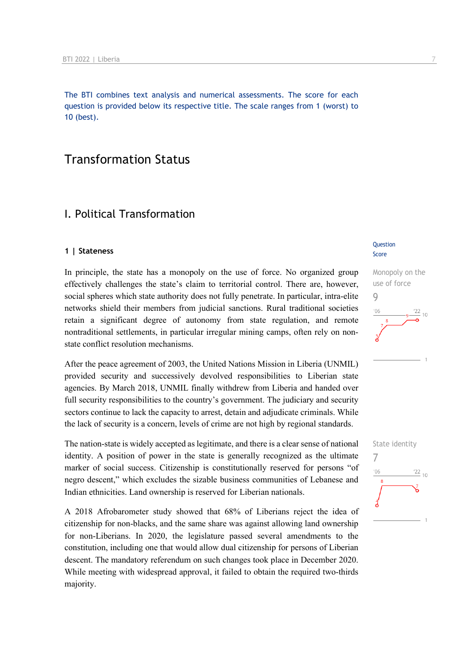The BTI combines text analysis and numerical assessments. The score for each question is provided below its respective title. The scale ranges from 1 (worst) to 10 (best).

### Transformation Status

### I. Political Transformation

#### **1 | Stateness**

In principle, the state has a monopoly on the use of force. No organized group effectively challenges the state's claim to territorial control. There are, however, social spheres which state authority does not fully penetrate. In particular, intra-elite networks shield their members from judicial sanctions. Rural traditional societies retain a significant degree of autonomy from state regulation, and remote nontraditional settlements, in particular irregular mining camps, often rely on nonstate conflict resolution mechanisms.

After the peace agreement of 2003, the United Nations Mission in Liberia (UNMIL) provided security and successively devolved responsibilities to Liberian state agencies. By March 2018, UNMIL finally withdrew from Liberia and handed over full security responsibilities to the country's government. The judiciary and security sectors continue to lack the capacity to arrest, detain and adjudicate criminals. While the lack of security is a concern, levels of crime are not high by regional standards.

The nation-state is widely accepted as legitimate, and there is a clear sense of national identity. A position of power in the state is generally recognized as the ultimate marker of social success. Citizenship is constitutionally reserved for persons "of negro descent," which excludes the sizable business communities of Lebanese and Indian ethnicities. Land ownership is reserved for Liberian nationals.

A 2018 Afrobarometer study showed that 68% of Liberians reject the idea of citizenship for non-blacks, and the same share was against allowing land ownership for non-Liberians. In 2020, the legislature passed several amendments to the constitution, including one that would allow dual citizenship for persons of Liberian descent. The mandatory referendum on such changes took place in December 2020. While meeting with widespread approval, it failed to obtain the required two-thirds majority.

#### **Question** Score



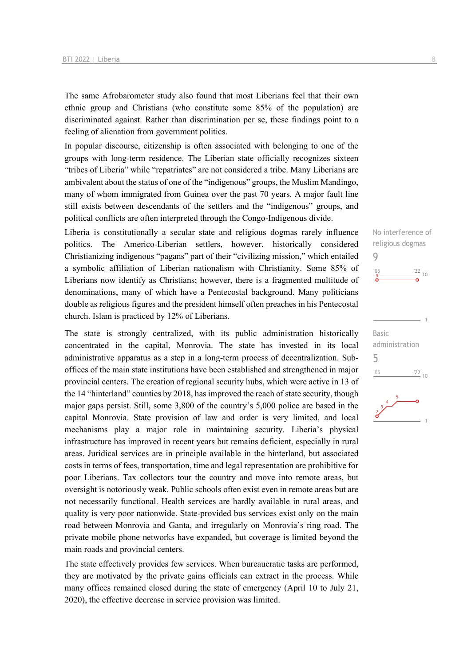The same Afrobarometer study also found that most Liberians feel that their own ethnic group and Christians (who constitute some 85% of the population) are discriminated against. Rather than discrimination per se, these findings point to a feeling of alienation from government politics.

In popular discourse, citizenship is often associated with belonging to one of the groups with long-term residence. The Liberian state officially recognizes sixteen "tribes of Liberia" while "repatriates" are not considered a tribe. Many Liberians are ambivalent about the status of one of the "indigenous" groups, the Muslim Mandingo, many of whom immigrated from Guinea over the past 70 years. A major fault line still exists between descendants of the settlers and the "indigenous" groups, and political conflicts are often interpreted through the Congo-Indigenous divide.

Liberia is constitutionally a secular state and religious dogmas rarely influence politics. The Americo-Liberian settlers, however, historically considered Christianizing indigenous "pagans" part of their "civilizing mission," which entailed a symbolic affiliation of Liberian nationalism with Christianity. Some 85% of Liberians now identify as Christians; however, there is a fragmented multitude of denominations, many of which have a Pentecostal background. Many politicians double as religious figures and the president himself often preaches in his Pentecostal church. Islam is practiced by 12% of Liberians.

The state is strongly centralized, with its public administration historically concentrated in the capital, Monrovia. The state has invested in its local administrative apparatus as a step in a long-term process of decentralization. Suboffices of the main state institutions have been established and strengthened in major provincial centers. The creation of regional security hubs, which were active in 13 of the 14 "hinterland" counties by 2018, has improved the reach of state security, though major gaps persist. Still, some 3,800 of the country's 5,000 police are based in the capital Monrovia. State provision of law and order is very limited, and local mechanisms play a major role in maintaining security. Liberia's physical infrastructure has improved in recent years but remains deficient, especially in rural areas. Juridical services are in principle available in the hinterland, but associated costs in terms of fees, transportation, time and legal representation are prohibitive for poor Liberians. Tax collectors tour the country and move into remote areas, but oversight is notoriously weak. Public schools often exist even in remote areas but are not necessarily functional. Health services are hardly available in rural areas, and quality is very poor nationwide. State-provided bus services exist only on the main road between Monrovia and Ganta, and irregularly on Monrovia's ring road. The private mobile phone networks have expanded, but coverage is limited beyond the main roads and provincial centers.

The state effectively provides few services. When bureaucratic tasks are performed, they are motivated by the private gains officials can extract in the process. While many offices remained closed during the state of emergency (April 10 to July 21, 2020), the effective decrease in service provision was limited.

 $\frac{22}{10}$  10 Basic administration 5 $^{\prime}06$  $^{22}$  10

No interference of religious dogmas

 $\Omega$ 

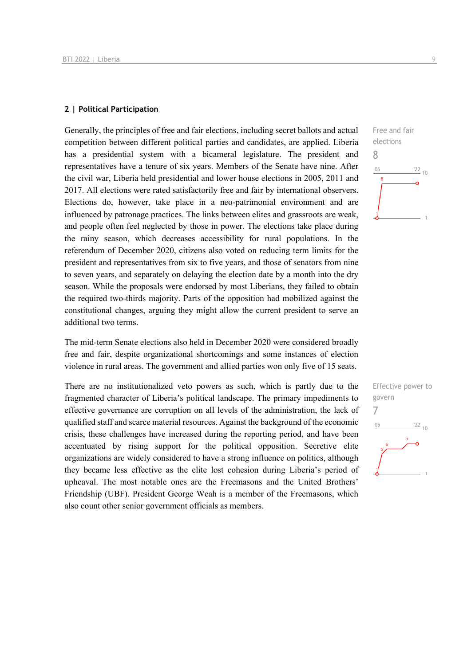#### **2 | Political Participation**

Generally, the principles of free and fair elections, including secret ballots and actual competition between different political parties and candidates, are applied. Liberia has a presidential system with a bicameral legislature. The president and representatives have a tenure of six years. Members of the Senate have nine. After the civil war, Liberia held presidential and lower house elections in 2005, 2011 and 2017. All elections were rated satisfactorily free and fair by international observers. Elections do, however, take place in a neo-patrimonial environment and are influenced by patronage practices. The links between elites and grassroots are weak, and people often feel neglected by those in power. The elections take place during the rainy season, which decreases accessibility for rural populations. In the referendum of December 2020, citizens also voted on reducing term limits for the president and representatives from six to five years, and those of senators from nine to seven years, and separately on delaying the election date by a month into the dry season. While the proposals were endorsed by most Liberians, they failed to obtain the required two-thirds majority. Parts of the opposition had mobilized against the constitutional changes, arguing they might allow the current president to serve an additional two terms.

The mid-term Senate elections also held in December 2020 were considered broadly free and fair, despite organizational shortcomings and some instances of election violence in rural areas. The government and allied parties won only five of 15 seats.

There are no institutionalized veto powers as such, which is partly due to the fragmented character of Liberia's political landscape. The primary impediments to effective governance are corruption on all levels of the administration, the lack of qualified staff and scarce material resources. Against the background of the economic crisis, these challenges have increased during the reporting period, and have been accentuated by rising support for the political opposition. Secretive elite organizations are widely considered to have a strong influence on politics, although they became less effective as the elite lost cohesion during Liberia's period of upheaval. The most notable ones are the Freemasons and the United Brothers' Friendship (UBF). President George Weah is a member of the Freemasons, which also count other senior government officials as members.



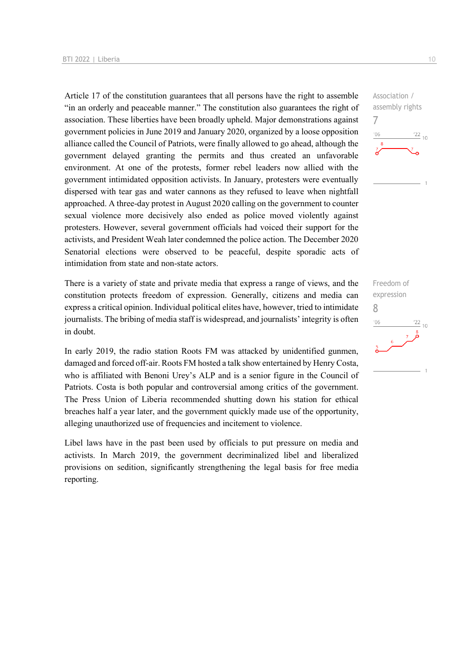Article 17 of the constitution guarantees that all persons have the right to assemble "in an orderly and peaceable manner." The constitution also guarantees the right of association. These liberties have been broadly upheld. Major demonstrations against government policies in June 2019 and January 2020, organized by a loose opposition alliance called the Council of Patriots, were finally allowed to go ahead, although the government delayed granting the permits and thus created an unfavorable environment. At one of the protests, former rebel leaders now allied with the government intimidated opposition activists. In January, protesters were eventually dispersed with tear gas and water cannons as they refused to leave when nightfall approached. A three-day protest in August 2020 calling on the government to counter sexual violence more decisively also ended as police moved violently against protesters. However, several government officials had voiced their support for the activists, and President Weah later condemned the police action. The December 2020 Senatorial elections were observed to be peaceful, despite sporadic acts of intimidation from state and non-state actors.

There is a variety of state and private media that express a range of views, and the constitution protects freedom of expression. Generally, citizens and media can express a critical opinion. Individual political elites have, however, tried to intimidate journalists. The bribing of media staff is widespread, and journalists' integrity is often in doubt.

In early 2019, the radio station Roots FM was attacked by unidentified gunmen, damaged and forced off-air. Roots FM hosted a talk show entertained by Henry Costa, who is affiliated with Benoni Urey's ALP and is a senior figure in the Council of Patriots. Costa is both popular and controversial among critics of the government. The Press Union of Liberia recommended shutting down his station for ethical breaches half a year later, and the government quickly made use of the opportunity, alleging unauthorized use of frequencies and incitement to violence.

Libel laws have in the past been used by officials to put pressure on media and activists. In March 2019, the government decriminalized libel and liberalized provisions on sedition, significantly strengthening the legal basis for free media reporting.



Freedom of expression 8 $\frac{22}{10}$  $106$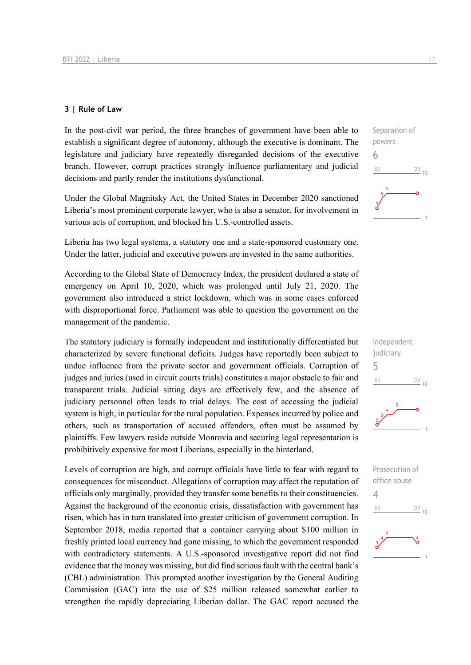### **3 | Rule of Law**

In the post-civil war period, the three branches of government have been able to establish a significant degree of autonomy, although the executive is dominant. The legislature and judiciary have repeatedly disregarded decisions of the executive branch. However, corrupt practices strongly influence parliamentary and judicial decisions and partly render the institutions dysfunctional.

Under the Global Magnitsky Act, the United States in December 2020 sanctioned Liberia's most prominent corporate lawyer, who is also a senator, for involvement in various acts of corruption, and blocked his U.S.-controlled assets.

Liberia has two legal systems, a statutory one and a state-sponsored customary one. Under the latter, judicial and executive powers are invested in the same authorities.

According to the Global State of Democracy Index, the president declared a state of emergency on April 10, 2020, which was prolonged until July 21, 2020. The government also introduced a strict lockdown, which was in some cases enforced with disproportional force. Parliament was able to question the government on the management of the pandemic.

The statutory judiciary is formally independent and institutionally differentiated but characterized by severe functional deficits. Judges have reportedly been subject to undue influence from the private sector and government officials. Corruption of judges and juries (used in circuit courts trials) constitutes a major obstacle to fair and transparent trials. Judicial sitting days are effectively few, and the absence of judiciary personnel often leads to trial delays. The cost of accessing the judicial system is high, in particular for the rural population. Expenses incurred by police and others, such as transportation of accused offenders, often must be assumed by plaintiffs. Few lawyers reside outside Monrovia and securing legal representation is prohibitively expensive for most Liberians, especially in the hinterland.

Levels of corruption are high, and corrupt officials have little to fear with regard to consequences for misconduct. Allegations of corruption may affect the reputation of officials only marginally, provided they transfer some benefits to their constituencies. Against the background of the economic crisis, dissatisfaction with government has risen, which has in turn translated into greater criticism of government corruption. In September 2018, media reported that a container carrying about \$100 million in freshly printed local currency had gone missing, to which the government responded with contradictory statements. A U.S.-sponsored investigative report did not find evidence that the money was missing, but did find serious fault with the central bank's (CBL) administration. This prompted another investigation by the General Auditing Commission (GAC) into the use of \$25 million released somewhat earlier to strengthen the rapidly depreciating Liberian dollar. The GAC report accused the





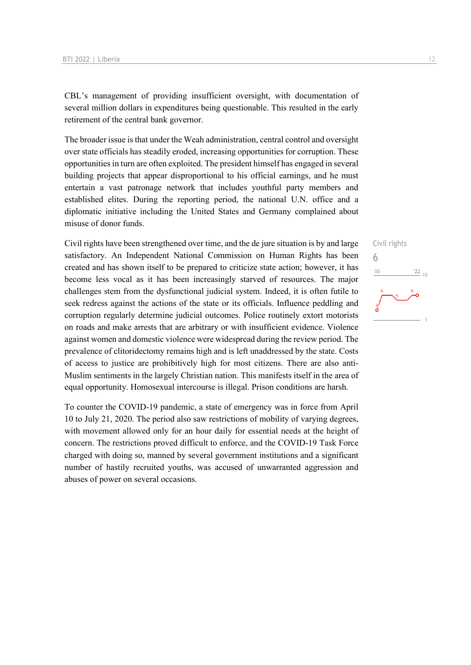CBL's management of providing insufficient oversight, with documentation of several million dollars in expenditures being questionable. This resulted in the early retirement of the central bank governor.

The broader issue is that under the Weah administration, central control and oversight over state officials has steadily eroded, increasing opportunities for corruption. These opportunities in turn are often exploited. The president himself has engaged in several building projects that appear disproportional to his official earnings, and he must entertain a vast patronage network that includes youthful party members and established elites. During the reporting period, the national U.N. office and a diplomatic initiative including the United States and Germany complained about misuse of donor funds.

Civil rights have been strengthened over time, and the de jure situation is by and large satisfactory. An Independent National Commission on Human Rights has been created and has shown itself to be prepared to criticize state action; however, it has become less vocal as it has been increasingly starved of resources. The major challenges stem from the dysfunctional judicial system. Indeed, it is often futile to seek redress against the actions of the state or its officials. Influence peddling and corruption regularly determine judicial outcomes. Police routinely extort motorists on roads and make arrests that are arbitrary or with insufficient evidence. Violence against women and domestic violence were widespread during the review period. The prevalence of clitoridectomy remains high and is left unaddressed by the state. Costs of access to justice are prohibitively high for most citizens. There are also anti-Muslim sentiments in the largely Christian nation. This manifests itself in the area of equal opportunity. Homosexual intercourse is illegal. Prison conditions are harsh.

To counter the COVID-19 pandemic, a state of emergency was in force from April 10 to July 21, 2020. The period also saw restrictions of mobility of varying degrees, with movement allowed only for an hour daily for essential needs at the height of concern. The restrictions proved difficult to enforce, and the COVID-19 Task Force charged with doing so, manned by several government institutions and a significant number of hastily recruited youths, was accused of unwarranted aggression and abuses of power on several occasions.

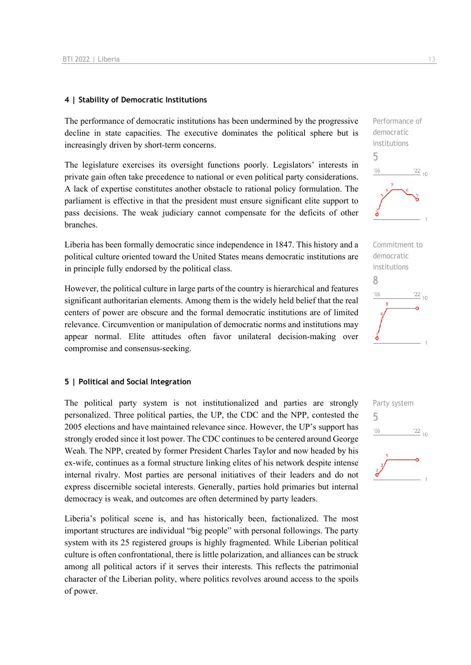### **4 | Stability of Democratic Institutions**

The performance of democratic institutions has been undermined by the progressive decline in state capacities. The executive dominates the political sphere but is increasingly driven by short-term concerns.

The legislature exercises its oversight functions poorly. Legislators' interests in private gain often take precedence to national or even political party considerations. A lack of expertise constitutes another obstacle to rational policy formulation. The parliament is effective in that the president must ensure significant elite support to pass decisions. The weak judiciary cannot compensate for the deficits of other branches.

Liberia has been formally democratic since independence in 1847. This history and a political culture oriented toward the United States means democratic institutions are in principle fully endorsed by the political class.

However, the political culture in large parts of the country is hierarchical and features significant authoritarian elements. Among them is the widely held belief that the real centers of power are obscure and the formal democratic institutions are of limited relevance. Circumvention or manipulation of democratic norms and institutions may appear normal. Elite attitudes often favor unilateral decision-making over compromise and consensus-seeking.

### **5 | Political and Social Integration**

The political party system is not institutionalized and parties are strongly personalized. Three political parties, the UP, the CDC and the NPP, contested the 2005 elections and have maintained relevance since. However, the UP's support has strongly eroded since it lost power. The CDC continues to be centered around George Weah. The NPP, created by former President Charles Taylor and now headed by his ex-wife, continues as a formal structure linking elites of his network despite intense internal rivalry. Most parties are personal initiatives of their leaders and do not express discernible societal interests. Generally, parties hold primaries but internal democracy is weak, and outcomes are often determined by party leaders.

Liberia's political scene is, and has historically been, factionalized. The most important structures are individual "big people" with personal followings. The party system with its 25 registered groups is highly fragmented. While Liberian political culture is often confrontational, there is little polarization, and alliances can be struck among all political actors if it serves their interests. This reflects the patrimonial character of the Liberian polity, where politics revolves around access to the spoils of power.





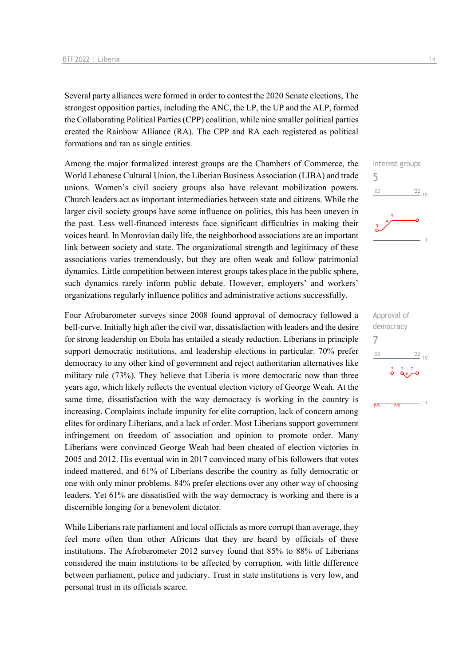Several party alliances were formed in order to contest the 2020 Senate elections, The strongest opposition parties, including the ANC, the LP, the UP and the ALP, formed the Collaborating Political Parties (CPP) coalition, while nine smaller political parties created the Rainbow Alliance (RA). The CPP and RA each registered as political formations and ran as single entities.

Among the major formalized interest groups are the Chambers of Commerce, the World Lebanese Cultural Union, the Liberian Business Association (LIBA) and trade unions. Women's civil society groups also have relevant mobilization powers. Church leaders act as important intermediaries between state and citizens. While the larger civil society groups have some influence on politics, this has been uneven in the past. Less well-financed interests face significant difficulties in making their voices heard. In Monrovian daily life, the neighborhood associations are an important link between society and state. The organizational strength and legitimacy of these associations varies tremendously, but they are often weak and follow patrimonial dynamics. Little competition between interest groups takes place in the public sphere, such dynamics rarely inform public debate. However, employers' and workers' organizations regularly influence politics and administrative actions successfully.

Four Afrobarometer surveys since 2008 found approval of democracy followed a bell-curve. Initially high after the civil war, dissatisfaction with leaders and the desire for strong leadership on Ebola has entailed a steady reduction. Liberians in principle support democratic institutions, and leadership elections in particular. 70% prefer democracy to any other kind of government and reject authoritarian alternatives like military rule (73%). They believe that Liberia is more democratic now than three years ago, which likely reflects the eventual election victory of George Weah. At the same time, dissatisfaction with the way democracy is working in the country is increasing. Complaints include impunity for elite corruption, lack of concern among elites for ordinary Liberians, and a lack of order. Most Liberians support government infringement on freedom of association and opinion to promote order. Many Liberians were convinced George Weah had been cheated of election victories in 2005 and 2012. His eventual win in 2017 convinced many of his followers that votes indeed mattered, and 61% of Liberians describe the country as fully democratic or one with only minor problems. 84% prefer elections over any other way of choosing leaders. Yet 61% are dissatisfied with the way democracy is working and there is a discernible longing for a benevolent dictator.

While Liberians rate parliament and local officials as more corrupt than average, they feel more often than other Africans that they are heard by officials of these institutions. The Afrobarometer 2012 survey found that 85% to 88% of Liberians considered the main institutions to be affected by corruption, with little difference between parliament, police and judiciary. Trust in state institutions is very low, and personal trust in its officials scarce.

Interest groups

 $\frac{22}{10}$ 

 $^{22}$  10

 $\frac{7}{9}$   $\frac{7}{9}$   $\frac{7}{9}$ 

 $\overline{m/s}$ 

Approval of democracy

7

 $-06$ 

 $\overline{m/s}$ 

5

 $-06$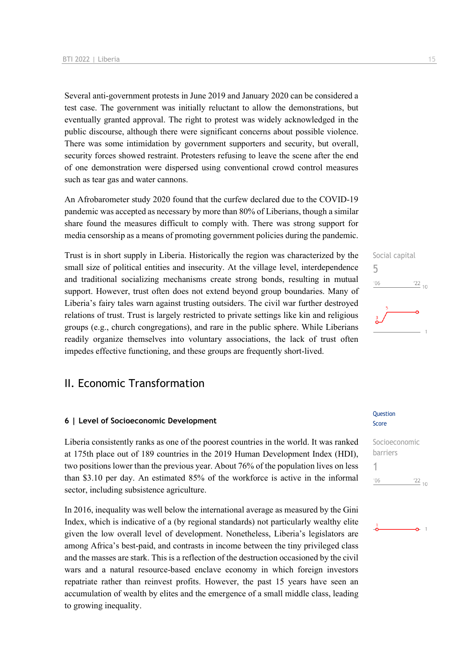Several anti-government protests in June 2019 and January 2020 can be considered a test case. The government was initially reluctant to allow the demonstrations, but eventually granted approval. The right to protest was widely acknowledged in the public discourse, although there were significant concerns about possible violence. There was some intimidation by government supporters and security, but overall, security forces showed restraint. Protesters refusing to leave the scene after the end of one demonstration were dispersed using conventional crowd control measures such as tear gas and water cannons.

An Afrobarometer study 2020 found that the curfew declared due to the COVID-19 pandemic was accepted as necessary by more than 80% of Liberians, though a similar share found the measures difficult to comply with. There was strong support for media censorship as a means of promoting government policies during the pandemic.

Trust is in short supply in Liberia. Historically the region was characterized by the small size of political entities and insecurity. At the village level, interdependence and traditional socializing mechanisms create strong bonds, resulting in mutual support. However, trust often does not extend beyond group boundaries. Many of Liberia's fairy tales warn against trusting outsiders. The civil war further destroyed relations of trust. Trust is largely restricted to private settings like kin and religious groups (e.g., church congregations), and rare in the public sphere. While Liberians readily organize themselves into voluntary associations, the lack of trust often impedes effective functioning, and these groups are frequently short-lived.

### II. Economic Transformation

#### **6 | Level of Socioeconomic Development**

Liberia consistently ranks as one of the poorest countries in the world. It was ranked at 175th place out of 189 countries in the 2019 Human Development Index (HDI), two positions lower than the previous year. About 76% of the population lives on less than \$3.10 per day. An estimated 85% of the workforce is active in the informal sector, including subsistence agriculture.

In 2016, inequality was well below the international average as measured by the Gini Index, which is indicative of a (by regional standards) not particularly wealthy elite given the low overall level of development. Nonetheless, Liberia's legislators are among Africa's best-paid, and contrasts in income between the tiny privileged class and the masses are stark. This is a reflection of the destruction occasioned by the civil wars and a natural resource-based enclave economy in which foreign investors repatriate rather than reinvest profits. However, the past 15 years have seen an accumulation of wealth by elites and the emergence of a small middle class, leading to growing inequality.

# Social capital 5  $06'$  $\frac{22}{10}$

### Score Socioeconomic

Question

1

barriers  $'06$  $\frac{22}{10}$ 

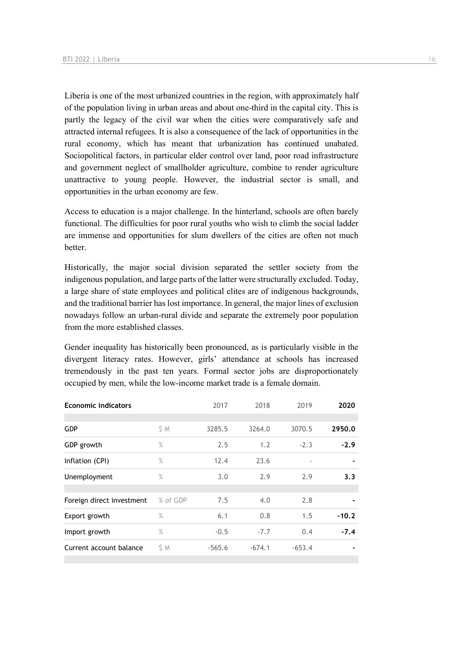Liberia is one of the most urbanized countries in the region, with approximately half of the population living in urban areas and about one-third in the capital city. This is partly the legacy of the civil war when the cities were comparatively safe and attracted internal refugees. It is also a consequence of the lack of opportunities in the rural economy, which has meant that urbanization has continued unabated. Sociopolitical factors, in particular elder control over land, poor road infrastructure and government neglect of smallholder agriculture, combine to render agriculture unattractive to young people. However, the industrial sector is small, and opportunities in the urban economy are few.

Access to education is a major challenge. In the hinterland, schools are often barely functional. The difficulties for poor rural youths who wish to climb the social ladder are immense and opportunities for slum dwellers of the cities are often not much better.

Historically, the major social division separated the settler society from the indigenous population, and large parts of the latter were structurally excluded. Today, a large share of state employees and political elites are of indigenous backgrounds, and the traditional barrier has lost importance. In general, the major lines of exclusion nowadays follow an urban-rural divide and separate the extremely poor population from the more established classes.

Gender inequality has historically been pronounced, as is particularly visible in the divergent literacy rates. However, girls' attendance at schools has increased tremendously in the past ten years. Formal sector jobs are disproportionately occupied by men, while the low-income market trade is a female domain.

| <b>Economic indicators</b> |          | 2017     | 2018     | 2019     | 2020    |
|----------------------------|----------|----------|----------|----------|---------|
|                            |          |          |          |          |         |
| <b>GDP</b>                 | \$ M     | 3285.5   | 3264.0   | 3070.5   | 2950.0  |
| GDP growth                 | %        | 2.5      | 1.2      | $-2.3$   | $-2.9$  |
| Inflation (CPI)            | %        | 12.4     | 23.6     | ٠        |         |
| Unemployment               | %        | 3.0      | 2.9      | 2.9      | 3.3     |
|                            |          |          |          |          |         |
| Foreign direct investment  | % of GDP | 7.5      | 4.0      | 2.8      |         |
| Export growth              | $\%$     | 6.1      | 0.8      | 1.5      | $-10.2$ |
| Import growth              | $\%$     | $-0.5$   | $-7.7$   | 0.4      | $-7.4$  |
| Current account balance    | S M      | $-565.6$ | $-674.1$ | $-653.4$ |         |
|                            |          |          |          |          |         |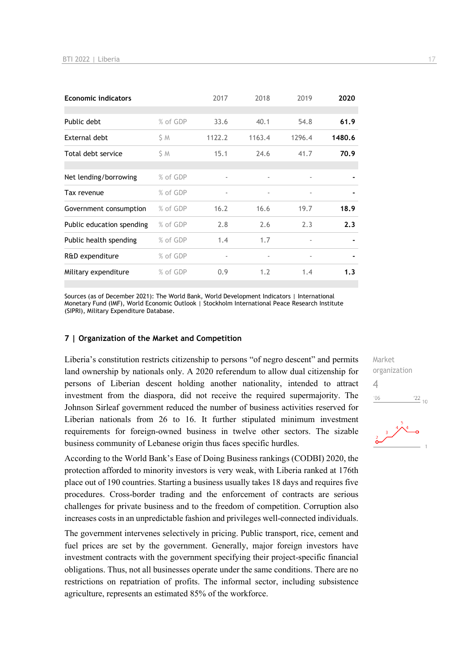| <b>Economic indicators</b> |          | 2017                     | 2018                     | 2019                     | 2020   |
|----------------------------|----------|--------------------------|--------------------------|--------------------------|--------|
|                            |          |                          |                          |                          |        |
| Public debt                | % of GDP | 33.6                     | 40.1                     | 54.8                     | 61.9   |
| External debt              | S M      | 1122.2                   | 1163.4                   | 1296.4                   | 1480.6 |
| Total debt service         | S M      | 15.1                     | 24.6                     | 41.7                     | 70.9   |
|                            |          |                          |                          |                          |        |
| Net lending/borrowing      | % of GDP | $\overline{\phantom{m}}$ | ٠                        | $\overline{\phantom{a}}$ |        |
| Tax revenue                | % of GDP | $\overline{\phantom{m}}$ | $\overline{\phantom{a}}$ | $\overline{\phantom{a}}$ |        |
| Government consumption     | % of GDP | 16.2                     | 16.6                     | 19.7                     | 18.9   |
| Public education spending  | % of GDP | 2.8                      | 2.6                      | 2.3                      | 2.3    |
| Public health spending     | % of GDP | 1.4                      | 1.7                      |                          |        |
| R&D expenditure            | % of GDP |                          |                          | $\overline{\phantom{a}}$ |        |
| Military expenditure       | % of GDP | 0.9                      | 1.2                      | 1.4                      | 1.3    |

Sources (as of December 2021): The World Bank, World Development Indicators | International Monetary Fund (IMF), World Economic Outlook | Stockholm International Peace Research Institute (SIPRI), Military Expenditure Database.

### **7 | Organization of the Market and Competition**

Liberia's constitution restricts citizenship to persons "of negro descent" and permits land ownership by nationals only. A 2020 referendum to allow dual citizenship for persons of Liberian descent holding another nationality, intended to attract investment from the diaspora, did not receive the required supermajority. The Johnson Sirleaf government reduced the number of business activities reserved for Liberian nationals from 26 to 16. It further stipulated minimum investment requirements for foreign-owned business in twelve other sectors. The sizable business community of Lebanese origin thus faces specific hurdles.

According to the World Bank's Ease of Doing Business rankings (CODBI) 2020, the protection afforded to minority investors is very weak, with Liberia ranked at 176th place out of 190 countries. Starting a business usually takes 18 days and requires five procedures. Cross-border trading and the enforcement of contracts are serious challenges for private business and to the freedom of competition. Corruption also increases costs in an unpredictable fashion and privileges well-connected individuals.

The government intervenes selectively in pricing. Public transport, rice, cement and fuel prices are set by the government. Generally, major foreign investors have investment contracts with the government specifying their project-specific financial obligations. Thus, not all businesses operate under the same conditions. There are no restrictions on repatriation of profits. The informal sector, including subsistence agriculture, represents an estimated 85% of the workforce.

Market organization 4 $-06$  $\frac{22}{10}$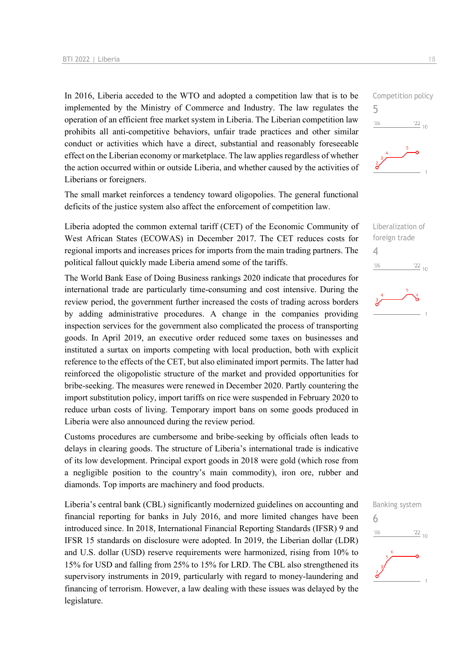In 2016, Liberia acceded to the WTO and adopted a competition law that is to be implemented by the Ministry of Commerce and Industry. The law regulates the operation of an efficient free market system in Liberia. The Liberian competition law prohibits all anti-competitive behaviors, unfair trade practices and other similar conduct or activities which have a direct, substantial and reasonably foreseeable effect on the Liberian economy or marketplace. The law applies regardless of whether the action occurred within or outside Liberia, and whether caused by the activities of Liberians or foreigners.

The small market reinforces a tendency toward oligopolies. The general functional deficits of the justice system also affect the enforcement of competition law.

Liberia adopted the common external tariff (CET) of the Economic Community of West African States (ECOWAS) in December 2017. The CET reduces costs for regional imports and increases prices for imports from the main trading partners. The political fallout quickly made Liberia amend some of the tariffs.

The World Bank Ease of Doing Business rankings 2020 indicate that procedures for international trade are particularly time-consuming and cost intensive. During the review period, the government further increased the costs of trading across borders by adding administrative procedures. A change in the companies providing inspection services for the government also complicated the process of transporting goods. In April 2019, an executive order reduced some taxes on businesses and instituted a surtax on imports competing with local production, both with explicit reference to the effects of the CET, but also eliminated import permits. The latter had reinforced the oligopolistic structure of the market and provided opportunities for bribe-seeking. The measures were renewed in December 2020. Partly countering the import substitution policy, import tariffs on rice were suspended in February 2020 to reduce urban costs of living. Temporary import bans on some goods produced in Liberia were also announced during the review period.

Customs procedures are cumbersome and bribe-seeking by officials often leads to delays in clearing goods. The structure of Liberia's international trade is indicative of its low development. Principal export goods in 2018 were gold (which rose from a negligible position to the country's main commodity), iron ore, rubber and diamonds. Top imports are machinery and food products.

Liberia's central bank (CBL) significantly modernized guidelines on accounting and financial reporting for banks in July 2016, and more limited changes have been introduced since. In 2018, International Financial Reporting Standards (IFSR) 9 and IFSR 15 standards on disclosure were adopted. In 2019, the Liberian dollar (LDR) and U.S. dollar (USD) reserve requirements were harmonized, rising from 10% to 15% for USD and falling from 25% to 15% for LRD. The CBL also strengthened its supervisory instruments in 2019, particularly with regard to money-laundering and financing of terrorism. However, a law dealing with these issues was delayed by the legislature.







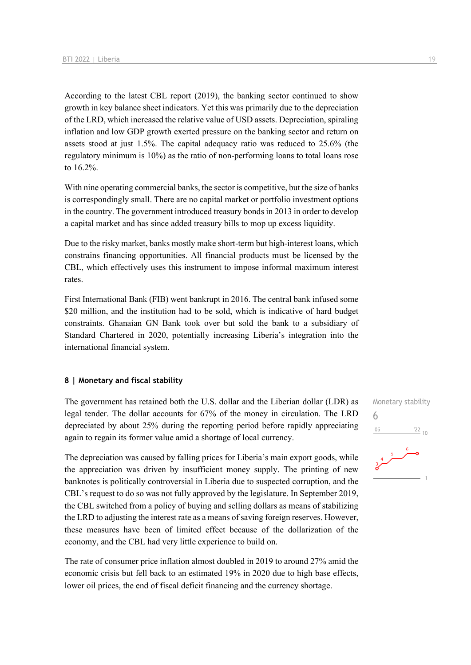According to the latest CBL report (2019), the banking sector continued to show growth in key balance sheet indicators. Yet this was primarily due to the depreciation of the LRD, which increased the relative value of USD assets. Depreciation, spiraling inflation and low GDP growth exerted pressure on the banking sector and return on assets stood at just 1.5%. The capital adequacy ratio was reduced to 25.6% (the regulatory minimum is 10%) as the ratio of non-performing loans to total loans rose to 16.2%.

With nine operating commercial banks, the sector is competitive, but the size of banks is correspondingly small. There are no capital market or portfolio investment options in the country. The government introduced treasury bonds in 2013 in order to develop a capital market and has since added treasury bills to mop up excess liquidity.

Due to the risky market, banks mostly make short-term but high-interest loans, which constrains financing opportunities. All financial products must be licensed by the CBL, which effectively uses this instrument to impose informal maximum interest rates.

First International Bank (FIB) went bankrupt in 2016. The central bank infused some \$20 million, and the institution had to be sold, which is indicative of hard budget constraints. Ghanaian GN Bank took over but sold the bank to a subsidiary of Standard Chartered in 2020, potentially increasing Liberia's integration into the international financial system.

#### **8 | Monetary and fiscal stability**

The government has retained both the U.S. dollar and the Liberian dollar (LDR) as legal tender. The dollar accounts for 67% of the money in circulation. The LRD depreciated by about 25% during the reporting period before rapidly appreciating again to regain its former value amid a shortage of local currency.

The depreciation was caused by falling prices for Liberia's main export goods, while the appreciation was driven by insufficient money supply. The printing of new banknotes is politically controversial in Liberia due to suspected corruption, and the CBL's request to do so was not fully approved by the legislature. In September 2019, the CBL switched from a policy of buying and selling dollars as means of stabilizing the LRD to adjusting the interest rate as a means of saving foreign reserves. However, these measures have been of limited effect because of the dollarization of the economy, and the CBL had very little experience to build on.

The rate of consumer price inflation almost doubled in 2019 to around 27% amid the economic crisis but fell back to an estimated 19% in 2020 due to high base effects, lower oil prices, the end of fiscal deficit financing and the currency shortage.

Monetary stability 6 $\frac{22}{10}$  $106$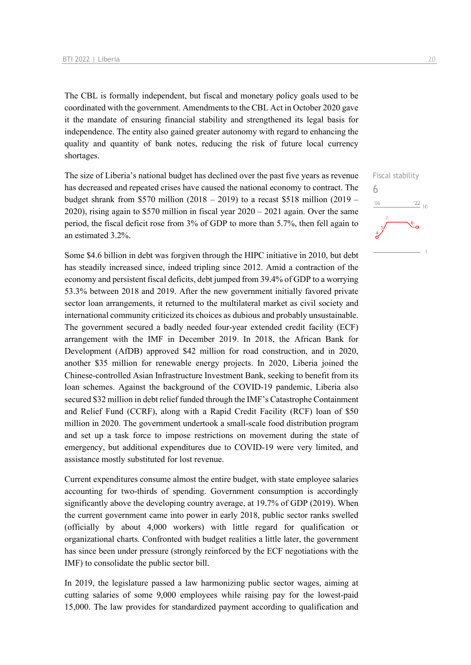The CBL is formally independent, but fiscal and monetary policy goals used to be coordinated with the government. Amendments to the CBL Act in October 2020 gave it the mandate of ensuring financial stability and strengthened its legal basis for independence. The entity also gained greater autonomy with regard to enhancing the quality and quantity of bank notes, reducing the risk of future local currency shortages.

The size of Liberia's national budget has declined over the past five years as revenue has decreased and repeated crises have caused the national economy to contract. The budget shrank from \$570 million  $(2018 - 2019)$  to a recast \$518 million  $(2019 -$ 2020), rising again to \$570 million in fiscal year  $2020 - 2021$  again. Over the same period, the fiscal deficit rose from 3% of GDP to more than 5.7%, then fell again to an estimated 3.2%.

Some \$4.6 billion in debt was forgiven through the HIPC initiative in 2010, but debt has steadily increased since, indeed tripling since 2012. Amid a contraction of the economy and persistent fiscal deficits, debt jumped from 39.4% of GDP to a worrying 53.3% between 2018 and 2019. After the new government initially favored private sector loan arrangements, it returned to the multilateral market as civil society and international community criticized its choices as dubious and probably unsustainable. The government secured a badly needed four-year extended credit facility (ECF) arrangement with the IMF in December 2019. In 2018, the African Bank for Development (AfDB) approved \$42 million for road construction, and in 2020, another \$35 million for renewable energy projects. In 2020, Liberia joined the Chinese-controlled Asian Infrastructure Investment Bank, seeking to benefit from its loan schemes. Against the background of the COVID-19 pandemic, Liberia also secured \$32 million in debt relief funded through the IMF's Catastrophe Containment and Relief Fund (CCRF), along with a Rapid Credit Facility (RCF) loan of \$50 million in 2020. The government undertook a small-scale food distribution program and set up a task force to impose restrictions on movement during the state of emergency, but additional expenditures due to COVID-19 were very limited, and assistance mostly substituted for lost revenue.

Current expenditures consume almost the entire budget, with state employee salaries accounting for two-thirds of spending. Government consumption is accordingly significantly above the developing country average, at 19.7% of GDP (2019). When the current government came into power in early 2018, public sector ranks swelled (officially by about 4,000 workers) with little regard for qualification or organizational charts. Confronted with budget realities a little later, the government has since been under pressure (strongly reinforced by the ECF negotiations with the IMF) to consolidate the public sector bill.

In 2019, the legislature passed a law harmonizing public sector wages, aiming at cutting salaries of some 9,000 employees while raising pay for the lowest-paid 15,000. The law provides for standardized payment according to qualification and

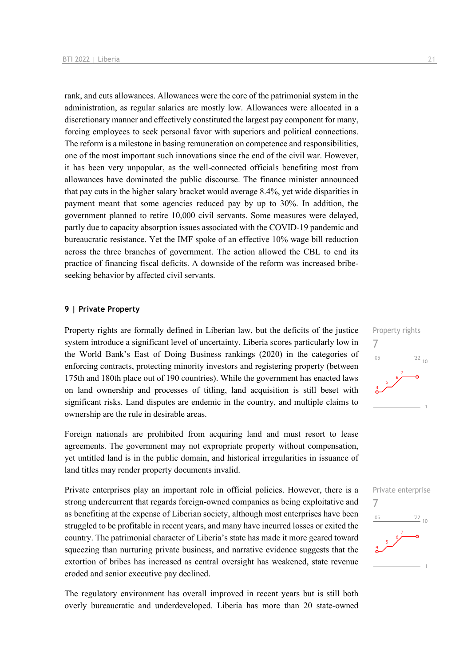rank, and cuts allowances. Allowances were the core of the patrimonial system in the administration, as regular salaries are mostly low. Allowances were allocated in a discretionary manner and effectively constituted the largest pay component for many, forcing employees to seek personal favor with superiors and political connections. The reform is a milestone in basing remuneration on competence and responsibilities, one of the most important such innovations since the end of the civil war. However, it has been very unpopular, as the well-connected officials benefiting most from allowances have dominated the public discourse. The finance minister announced that pay cuts in the higher salary bracket would average 8.4%, yet wide disparities in payment meant that some agencies reduced pay by up to 30%. In addition, the government planned to retire 10,000 civil servants. Some measures were delayed, partly due to capacity absorption issues associated with the COVID-19 pandemic and bureaucratic resistance. Yet the IMF spoke of an effective 10% wage bill reduction across the three branches of government. The action allowed the CBL to end its practice of financing fiscal deficits. A downside of the reform was increased bribeseeking behavior by affected civil servants.

### **9 | Private Property**

Property rights are formally defined in Liberian law, but the deficits of the justice system introduce a significant level of uncertainty. Liberia scores particularly low in the World Bank's East of Doing Business rankings (2020) in the categories of enforcing contracts, protecting minority investors and registering property (between 175th and 180th place out of 190 countries). While the government has enacted laws on land ownership and processes of titling, land acquisition is still beset with significant risks. Land disputes are endemic in the country, and multiple claims to ownership are the rule in desirable areas.

Foreign nationals are prohibited from acquiring land and must resort to lease agreements. The government may not expropriate property without compensation, yet untitled land is in the public domain, and historical irregularities in issuance of land titles may render property documents invalid.

Private enterprises play an important role in official policies. However, there is a strong undercurrent that regards foreign-owned companies as being exploitative and as benefiting at the expense of Liberian society, although most enterprises have been struggled to be profitable in recent years, and many have incurred losses or exited the country. The patrimonial character of Liberia's state has made it more geared toward squeezing than nurturing private business, and narrative evidence suggests that the extortion of bribes has increased as central oversight has weakened, state revenue eroded and senior executive pay declined.

The regulatory environment has overall improved in recent years but is still both overly bureaucratic and underdeveloped. Liberia has more than 20 state-owned



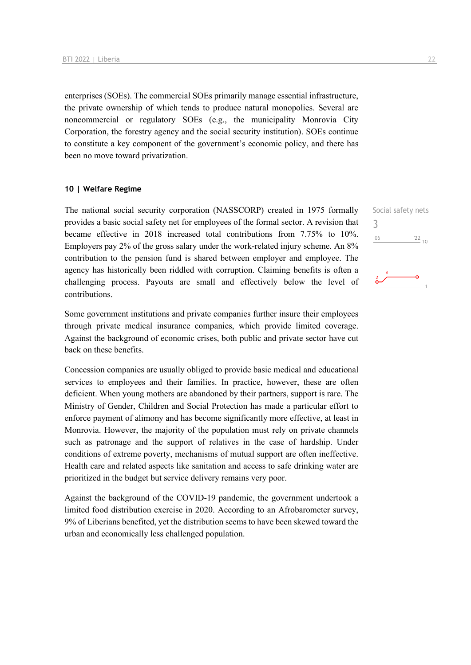enterprises (SOEs). The commercial SOEs primarily manage essential infrastructure, the private ownership of which tends to produce natural monopolies. Several are noncommercial or regulatory SOEs (e.g., the municipality Monrovia City Corporation, the forestry agency and the social security institution). SOEs continue to constitute a key component of the government's economic policy, and there has been no move toward privatization.

### **10 | Welfare Regime**

The national social security corporation (NASSCORP) created in 1975 formally provides a basic social safety net for employees of the formal sector. A revision that became effective in 2018 increased total contributions from 7.75% to 10%. Employers pay 2% of the gross salary under the work-related injury scheme. An 8% contribution to the pension fund is shared between employer and employee. The agency has historically been riddled with corruption. Claiming benefits is often a challenging process. Payouts are small and effectively below the level of contributions.

Some government institutions and private companies further insure their employees through private medical insurance companies, which provide limited coverage. Against the background of economic crises, both public and private sector have cut back on these benefits.

Concession companies are usually obliged to provide basic medical and educational services to employees and their families. In practice, however, these are often deficient. When young mothers are abandoned by their partners, support is rare. The Ministry of Gender, Children and Social Protection has made a particular effort to enforce payment of alimony and has become significantly more effective, at least in Monrovia. However, the majority of the population must rely on private channels such as patronage and the support of relatives in the case of hardship. Under conditions of extreme poverty, mechanisms of mutual support are often ineffective. Health care and related aspects like sanitation and access to safe drinking water are prioritized in the budget but service delivery remains very poor.

Against the background of the COVID-19 pandemic, the government undertook a limited food distribution exercise in 2020. According to an Afrobarometer survey, 9% of Liberians benefited, yet the distribution seems to have been skewed toward the urban and economically less challenged population.

Social safety nets 3 $\frac{22}{10}$  $^{\prime}06$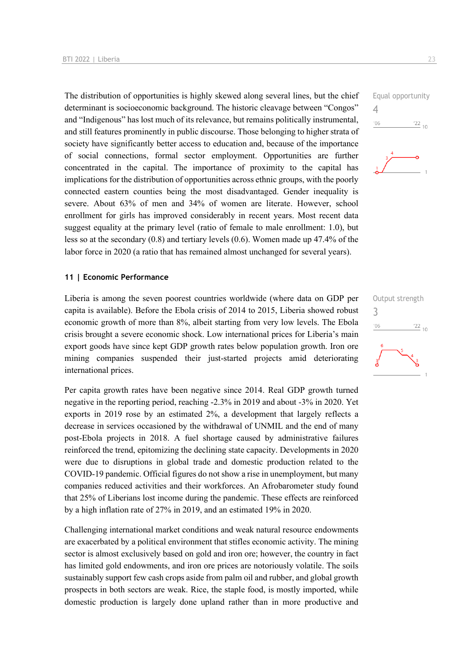The distribution of opportunities is highly skewed along several lines, but the chief determinant is socioeconomic background. The historic cleavage between "Congos" and "Indigenous" has lost much of its relevance, but remains politically instrumental, and still features prominently in public discourse. Those belonging to higher strata of society have significantly better access to education and, because of the importance of social connections, formal sector employment. Opportunities are further concentrated in the capital. The importance of proximity to the capital has implications for the distribution of opportunities across ethnic groups, with the poorly connected eastern counties being the most disadvantaged. Gender inequality is severe. About 63% of men and 34% of women are literate. However, school enrollment for girls has improved considerably in recent years. Most recent data suggest equality at the primary level (ratio of female to male enrollment: 1.0), but less so at the secondary (0.8) and tertiary levels (0.6). Women made up 47.4% of the labor force in 2020 (a ratio that has remained almost unchanged for several years).

#### **11 | Economic Performance**

Liberia is among the seven poorest countries worldwide (where data on GDP per capita is available). Before the Ebola crisis of 2014 to 2015, Liberia showed robust economic growth of more than 8%, albeit starting from very low levels. The Ebola crisis brought a severe economic shock. Low international prices for Liberia's main export goods have since kept GDP growth rates below population growth. Iron ore mining companies suspended their just-started projects amid deteriorating international prices.

Per capita growth rates have been negative since 2014. Real GDP growth turned negative in the reporting period, reaching -2.3% in 2019 and about -3% in 2020. Yet exports in 2019 rose by an estimated 2%, a development that largely reflects a decrease in services occasioned by the withdrawal of UNMIL and the end of many post-Ebola projects in 2018. A fuel shortage caused by administrative failures reinforced the trend, epitomizing the declining state capacity. Developments in 2020 were due to disruptions in global trade and domestic production related to the COVID-19 pandemic. Official figures do not show a rise in unemployment, but many companies reduced activities and their workforces. An Afrobarometer study found that 25% of Liberians lost income during the pandemic. These effects are reinforced by a high inflation rate of 27% in 2019, and an estimated 19% in 2020.

Challenging international market conditions and weak natural resource endowments are exacerbated by a political environment that stifles economic activity. The mining sector is almost exclusively based on gold and iron ore; however, the country in fact has limited gold endowments, and iron ore prices are notoriously volatile. The soils sustainably support few cash crops aside from palm oil and rubber, and global growth prospects in both sectors are weak. Rice, the staple food, is mostly imported, while domestic production is largely done upland rather than in more productive and



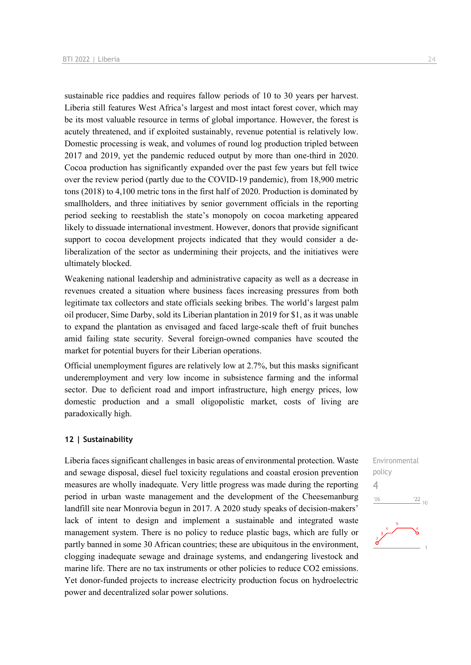sustainable rice paddies and requires fallow periods of 10 to 30 years per harvest. Liberia still features West Africa's largest and most intact forest cover, which may be its most valuable resource in terms of global importance. However, the forest is acutely threatened, and if exploited sustainably, revenue potential is relatively low. Domestic processing is weak, and volumes of round log production tripled between 2017 and 2019, yet the pandemic reduced output by more than one-third in 2020. Cocoa production has significantly expanded over the past few years but fell twice over the review period (partly due to the COVID-19 pandemic), from 18,900 metric tons (2018) to 4,100 metric tons in the first half of 2020. Production is dominated by smallholders, and three initiatives by senior government officials in the reporting period seeking to reestablish the state's monopoly on cocoa marketing appeared likely to dissuade international investment. However, donors that provide significant support to cocoa development projects indicated that they would consider a deliberalization of the sector as undermining their projects, and the initiatives were ultimately blocked.

Weakening national leadership and administrative capacity as well as a decrease in revenues created a situation where business faces increasing pressures from both legitimate tax collectors and state officials seeking bribes. The world's largest palm oil producer, Sime Darby, sold its Liberian plantation in 2019 for \$1, as it was unable to expand the plantation as envisaged and faced large-scale theft of fruit bunches amid failing state security. Several foreign-owned companies have scouted the market for potential buyers for their Liberian operations.

Official unemployment figures are relatively low at 2.7%, but this masks significant underemployment and very low income in subsistence farming and the informal sector. Due to deficient road and import infrastructure, high energy prices, low domestic production and a small oligopolistic market, costs of living are paradoxically high.

#### **12 | Sustainability**

Liberia faces significant challenges in basic areas of environmental protection. Waste and sewage disposal, diesel fuel toxicity regulations and coastal erosion prevention measures are wholly inadequate. Very little progress was made during the reporting period in urban waste management and the development of the Cheesemanburg landfill site near Monrovia begun in 2017. A 2020 study speaks of decision-makers' lack of intent to design and implement a sustainable and integrated waste management system. There is no policy to reduce plastic bags, which are fully or partly banned in some 30 African countries; these are ubiquitous in the environment, clogging inadequate sewage and drainage systems, and endangering livestock and marine life. There are no tax instruments or other policies to reduce CO2 emissions. Yet donor-funded projects to increase electricity production focus on hydroelectric power and decentralized solar power solutions.

Environmental policy 4 $\frac{22}{10}$  $'06$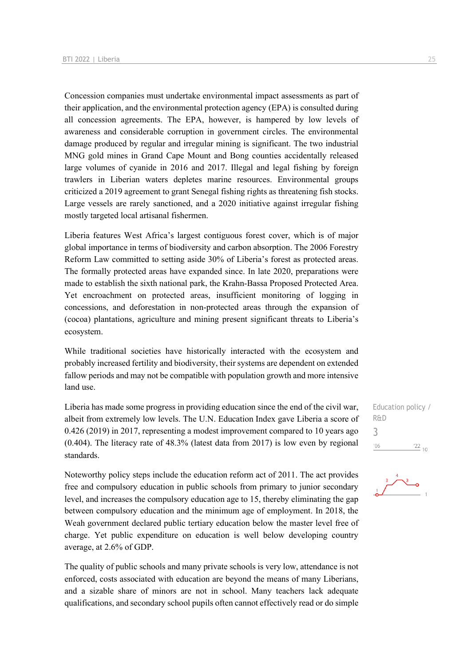Concession companies must undertake environmental impact assessments as part of their application, and the environmental protection agency (EPA) is consulted during all concession agreements. The EPA, however, is hampered by low levels of awareness and considerable corruption in government circles. The environmental damage produced by regular and irregular mining is significant. The two industrial MNG gold mines in Grand Cape Mount and Bong counties accidentally released large volumes of cyanide in 2016 and 2017. Illegal and legal fishing by foreign trawlers in Liberian waters depletes marine resources. Environmental groups criticized a 2019 agreement to grant Senegal fishing rights as threatening fish stocks. Large vessels are rarely sanctioned, and a 2020 initiative against irregular fishing mostly targeted local artisanal fishermen.

Liberia features West Africa's largest contiguous forest cover, which is of major global importance in terms of biodiversity and carbon absorption. The 2006 Forestry Reform Law committed to setting aside 30% of Liberia's forest as protected areas. The formally protected areas have expanded since. In late 2020, preparations were made to establish the sixth national park, the Krahn-Bassa Proposed Protected Area. Yet encroachment on protected areas, insufficient monitoring of logging in concessions, and deforestation in non-protected areas through the expansion of (cocoa) plantations, agriculture and mining present significant threats to Liberia's ecosystem.

While traditional societies have historically interacted with the ecosystem and probably increased fertility and biodiversity, their systems are dependent on extended fallow periods and may not be compatible with population growth and more intensive land use.

Liberia has made some progress in providing education since the end of the civil war, albeit from extremely low levels. The U.N. Education Index gave Liberia a score of 0.426 (2019) in 2017, representing a modest improvement compared to 10 years ago (0.404). The literacy rate of 48.3% (latest data from 2017) is low even by regional standards.

Noteworthy policy steps include the education reform act of 2011. The act provides free and compulsory education in public schools from primary to junior secondary level, and increases the compulsory education age to 15, thereby eliminating the gap between compulsory education and the minimum age of employment. In 2018, the Weah government declared public tertiary education below the master level free of charge. Yet public expenditure on education is well below developing country average, at 2.6% of GDP.

The quality of public schools and many private schools is very low, attendance is not enforced, costs associated with education are beyond the means of many Liberians, and a sizable share of minors are not in school. Many teachers lack adequate qualifications, and secondary school pupils often cannot effectively read or do simple

Education policy / R&D 3 $^{\prime}06$  $^{22}$  10

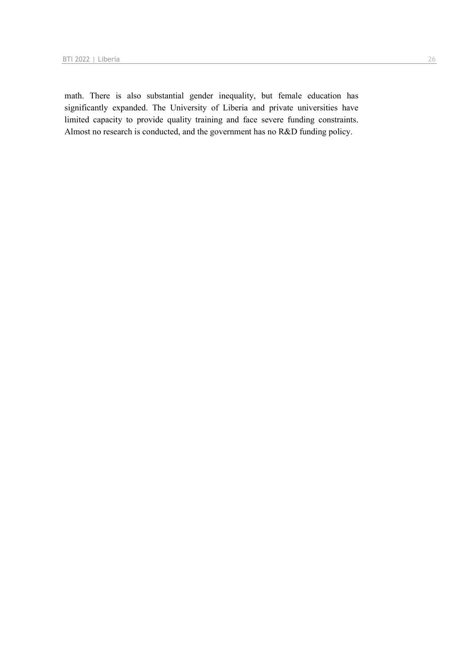math. There is also substantial gender inequality, but female education has significantly expanded. The University of Liberia and private universities have limited capacity to provide quality training and face severe funding constraints. Almost no research is conducted, and the government has no R&D funding policy.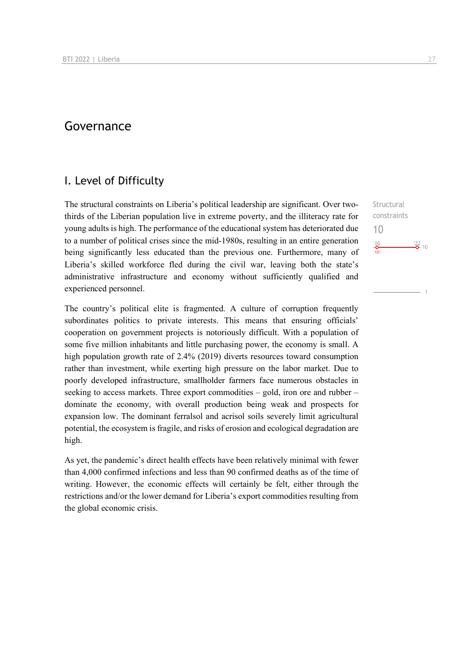### Governance

### I. Level of Difficulty

The structural constraints on Liberia's political leadership are significant. Over twothirds of the Liberian population live in extreme poverty, and the illiteracy rate for young adults is high. The performance of the educational system has deteriorated due to a number of political crises since the mid-1980s, resulting in an entire generation being significantly less educated than the previous one. Furthermore, many of Liberia's skilled workforce fled during the civil war, leaving both the state's administrative infrastructure and economy without sufficiently qualified and experienced personnel.

The country's political elite is fragmented. A culture of corruption frequently subordinates politics to private interests. This means that ensuring officials' cooperation on government projects is notoriously difficult. With a population of some five million inhabitants and little purchasing power, the economy is small. A high population growth rate of 2.4% (2019) diverts resources toward consumption rather than investment, while exerting high pressure on the labor market. Due to poorly developed infrastructure, smallholder farmers face numerous obstacles in seeking to access markets. Three export commodities – gold, iron ore and rubber – dominate the economy, with overall production being weak and prospects for expansion low. The dominant ferralsol and acrisol soils severely limit agricultural potential, the ecosystem is fragile, and risks of erosion and ecological degradation are high.

As yet, the pandemic's direct health effects have been relatively minimal with fewer than 4,000 confirmed infections and less than 90 confirmed deaths as of the time of writing. However, the economic effects will certainly be felt, either through the restrictions and/or the lower demand for Liberia's export commodities resulting from the global economic crisis.

**Structural** constraints 10 $\frac{106}{10}$  $\frac{22}{2}$  10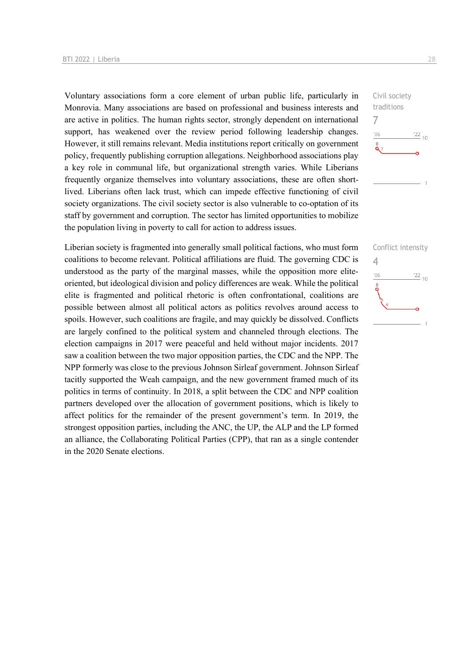Voluntary associations form a core element of urban public life, particularly in Monrovia. Many associations are based on professional and business interests and are active in politics. The human rights sector, strongly dependent on international support, has weakened over the review period following leadership changes. However, it still remains relevant. Media institutions report critically on government policy, frequently publishing corruption allegations. Neighborhood associations play a key role in communal life, but organizational strength varies. While Liberians frequently organize themselves into voluntary associations, these are often shortlived. Liberians often lack trust, which can impede effective functioning of civil society organizations. The civil society sector is also vulnerable to co-optation of its staff by government and corruption. The sector has limited opportunities to mobilize the population living in poverty to call for action to address issues.

Liberian society is fragmented into generally small political factions, who must form coalitions to become relevant. Political affiliations are fluid. The governing CDC is understood as the party of the marginal masses, while the opposition more eliteoriented, but ideological division and policy differences are weak. While the political elite is fragmented and political rhetoric is often confrontational, coalitions are possible between almost all political actors as politics revolves around access to spoils. However, such coalitions are fragile, and may quickly be dissolved. Conflicts are largely confined to the political system and channeled through elections. The election campaigns in 2017 were peaceful and held without major incidents. 2017 saw a coalition between the two major opposition parties, the CDC and the NPP. The NPP formerly was close to the previous Johnson Sirleaf government. Johnson Sirleaf tacitly supported the Weah campaign, and the new government framed much of its politics in terms of continuity. In 2018, a split between the CDC and NPP coalition partners developed over the allocation of government positions, which is likely to affect politics for the remainder of the present government's term. In 2019, the strongest opposition parties, including the ANC, the UP, the ALP and the LP formed an alliance, the Collaborating Political Parties (CPP), that ran as a single contender in the 2020 Senate elections.



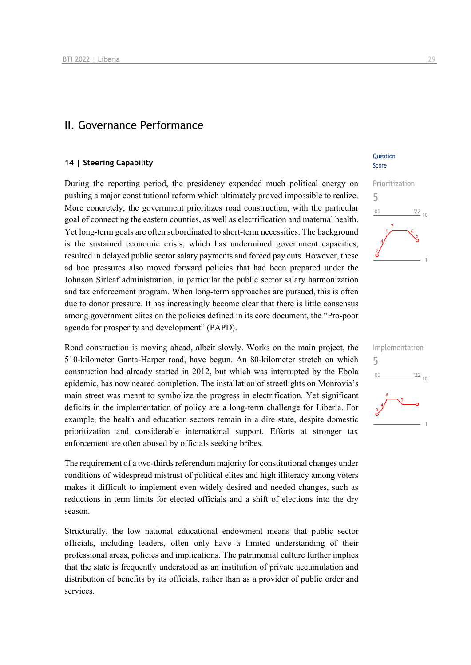### II. Governance Performance

### **14 | Steering Capability**

During the reporting period, the presidency expended much political energy on pushing a major constitutional reform which ultimately proved impossible to realize. More concretely, the government prioritizes road construction, with the particular goal of connecting the eastern counties, as well as electrification and maternal health. Yet long-term goals are often subordinated to short-term necessities. The background is the sustained economic crisis, which has undermined government capacities, resulted in delayed public sector salary payments and forced pay cuts. However, these ad hoc pressures also moved forward policies that had been prepared under the Johnson Sirleaf administration, in particular the public sector salary harmonization and tax enforcement program. When long-term approaches are pursued, this is often due to donor pressure. It has increasingly become clear that there is little consensus among government elites on the policies defined in its core document, the "Pro-poor agenda for prosperity and development" (PAPD).

Road construction is moving ahead, albeit slowly. Works on the main project, the 510-kilometer Ganta-Harper road, have begun. An 80-kilometer stretch on which construction had already started in 2012, but which was interrupted by the Ebola epidemic, has now neared completion. The installation of streetlights on Monrovia's main street was meant to symbolize the progress in electrification. Yet significant deficits in the implementation of policy are a long-term challenge for Liberia. For example, the health and education sectors remain in a dire state, despite domestic prioritization and considerable international support. Efforts at stronger tax enforcement are often abused by officials seeking bribes.

The requirement of a two-thirds referendum majority for constitutional changes under conditions of widespread mistrust of political elites and high illiteracy among voters makes it difficult to implement even widely desired and needed changes, such as reductions in term limits for elected officials and a shift of elections into the dry season.

Structurally, the low national educational endowment means that public sector officials, including leaders, often only have a limited understanding of their professional areas, policies and implications. The patrimonial culture further implies that the state is frequently understood as an institution of private accumulation and distribution of benefits by its officials, rather than as a provider of public order and services.

### **Ouestion** Score



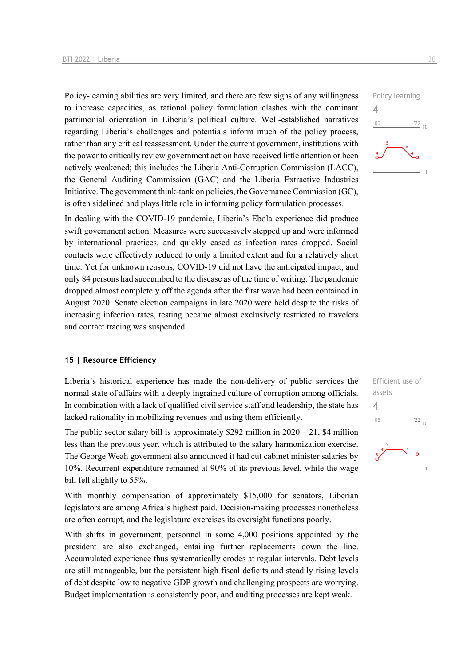Policy-learning abilities are very limited, and there are few signs of any willingness to increase capacities, as rational policy formulation clashes with the dominant patrimonial orientation in Liberia's political culture. Well-established narratives regarding Liberia's challenges and potentials inform much of the policy process, rather than any critical reassessment. Under the current government, institutions with the power to critically review government action have received little attention or been actively weakened; this includes the Liberia Anti-Corruption Commission (LACC), the General Auditing Commission (GAC) and the Liberia Extractive Industries Initiative. The government think-tank on policies, the Governance Commission (GC), is often sidelined and plays little role in informing policy formulation processes.

In dealing with the COVID-19 pandemic, Liberia's Ebola experience did produce swift government action. Measures were successively stepped up and were informed by international practices, and quickly eased as infection rates dropped. Social contacts were effectively reduced to only a limited extent and for a relatively short time. Yet for unknown reasons, COVID-19 did not have the anticipated impact, and only 84 persons had succumbed to the disease as of the time of writing. The pandemic dropped almost completely off the agenda after the first wave had been contained in August 2020. Senate election campaigns in late 2020 were held despite the risks of increasing infection rates, testing became almost exclusively restricted to travelers and contact tracing was suspended.

#### **15 | Resource Efficiency**

Liberia's historical experience has made the non-delivery of public services the normal state of affairs with a deeply ingrained culture of corruption among officials. In combination with a lack of qualified civil service staff and leadership, the state has lacked rationality in mobilizing revenues and using them efficiently.

The public sector salary bill is approximately \$292 million in  $2020 - 21$ , \$4 million less than the previous year, which is attributed to the salary harmonization exercise. The George Weah government also announced it had cut cabinet minister salaries by 10%. Recurrent expenditure remained at 90% of its previous level, while the wage bill fell slightly to 55%.

With monthly compensation of approximately \$15,000 for senators, Liberian legislators are among Africa's highest paid. Decision-making processes nonetheless are often corrupt, and the legislature exercises its oversight functions poorly.

With shifts in government, personnel in some 4,000 positions appointed by the president are also exchanged, entailing further replacements down the line. Accumulated experience thus systematically erodes at regular intervals. Debt levels are still manageable, but the persistent high fiscal deficits and steadily rising levels of debt despite low to negative GDP growth and challenging prospects are worrying. Budget implementation is consistently poor, and auditing processes are kept weak.



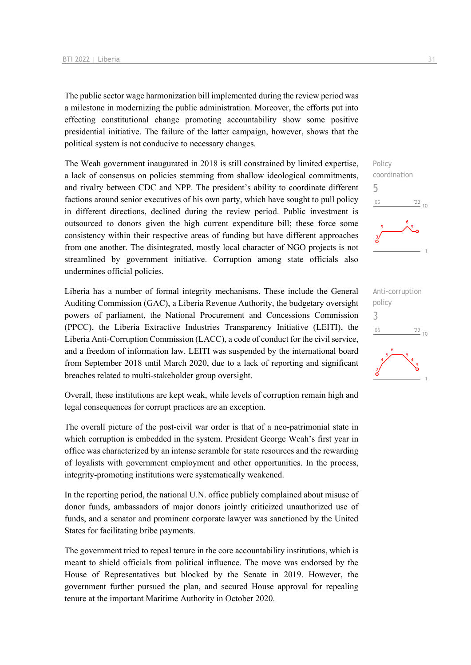The public sector wage harmonization bill implemented during the review period was a milestone in modernizing the public administration. Moreover, the efforts put into effecting constitutional change promoting accountability show some positive presidential initiative. The failure of the latter campaign, however, shows that the political system is not conducive to necessary changes.

The Weah government inaugurated in 2018 is still constrained by limited expertise, a lack of consensus on policies stemming from shallow ideological commitments, and rivalry between CDC and NPP. The president's ability to coordinate different factions around senior executives of his own party, which have sought to pull policy in different directions, declined during the review period. Public investment is outsourced to donors given the high current expenditure bill; these force some consistency within their respective areas of funding but have different approaches from one another. The disintegrated, mostly local character of NGO projects is not streamlined by government initiative. Corruption among state officials also undermines official policies.

Liberia has a number of formal integrity mechanisms. These include the General Auditing Commission (GAC), a Liberia Revenue Authority, the budgetary oversight powers of parliament, the National Procurement and Concessions Commission (PPCC), the Liberia Extractive Industries Transparency Initiative (LEITI), the Liberia Anti-Corruption Commission (LACC), a code of conduct for the civil service, and a freedom of information law. LEITI was suspended by the international board from September 2018 until March 2020, due to a lack of reporting and significant breaches related to multi-stakeholder group oversight.

Overall, these institutions are kept weak, while levels of corruption remain high and legal consequences for corrupt practices are an exception.

The overall picture of the post-civil war order is that of a neo-patrimonial state in which corruption is embedded in the system. President George Weah's first year in office was characterized by an intense scramble for state resources and the rewarding of loyalists with government employment and other opportunities. In the process, integrity-promoting institutions were systematically weakened.

In the reporting period, the national U.N. office publicly complained about misuse of donor funds, ambassadors of major donors jointly criticized unauthorized use of funds, and a senator and prominent corporate lawyer was sanctioned by the United States for facilitating bribe payments.

The government tried to repeal tenure in the core accountability institutions, which is meant to shield officials from political influence. The move was endorsed by the House of Representatives but blocked by the Senate in 2019. However, the government further pursued the plan, and secured House approval for repealing tenure at the important Maritime Authority in October 2020.



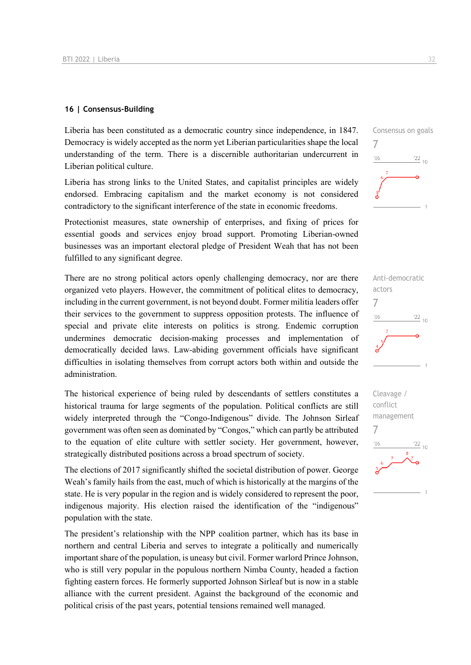### **16 | Consensus-Building**

Liberia has been constituted as a democratic country since independence, in 1847. Democracy is widely accepted as the norm yet Liberian particularities shape the local understanding of the term. There is a discernible authoritarian undercurrent in Liberian political culture.

Liberia has strong links to the United States, and capitalist principles are widely endorsed. Embracing capitalism and the market economy is not considered contradictory to the significant interference of the state in economic freedoms.

Protectionist measures, state ownership of enterprises, and fixing of prices for essential goods and services enjoy broad support. Promoting Liberian-owned businesses was an important electoral pledge of President Weah that has not been fulfilled to any significant degree.

There are no strong political actors openly challenging democracy, nor are there organized veto players. However, the commitment of political elites to democracy, including in the current government, is not beyond doubt. Former militia leaders offer their services to the government to suppress opposition protests. The influence of special and private elite interests on politics is strong. Endemic corruption undermines democratic decision-making processes and implementation of democratically decided laws. Law-abiding government officials have significant difficulties in isolating themselves from corrupt actors both within and outside the administration.

The historical experience of being ruled by descendants of settlers constitutes a historical trauma for large segments of the population. Political conflicts are still widely interpreted through the "Congo-Indigenous" divide. The Johnson Sirleaf government was often seen as dominated by "Congos," which can partly be attributed to the equation of elite culture with settler society. Her government, however, strategically distributed positions across a broad spectrum of society.

The elections of 2017 significantly shifted the societal distribution of power. George Weah's family hails from the east, much of which is historically at the margins of the state. He is very popular in the region and is widely considered to represent the poor, indigenous majority. His election raised the identification of the "indigenous" population with the state.

The president's relationship with the NPP coalition partner, which has its base in northern and central Liberia and serves to integrate a politically and numerically important share of the population, is uneasy but civil. Former warlord Prince Johnson, who is still very popular in the populous northern Nimba County, headed a faction fighting eastern forces. He formerly supported Johnson Sirleaf but is now in a stable alliance with the current president. Against the background of the economic and political crisis of the past years, potential tensions remained well managed.





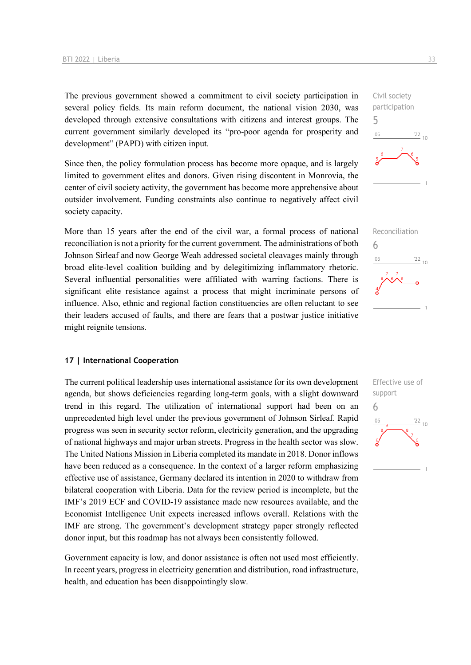The previous government showed a commitment to civil society participation in several policy fields. Its main reform document, the national vision 2030, was developed through extensive consultations with citizens and interest groups. The current government similarly developed its "pro-poor agenda for prosperity and development" (PAPD) with citizen input.

Since then, the policy formulation process has become more opaque, and is largely limited to government elites and donors. Given rising discontent in Monrovia, the center of civil society activity, the government has become more apprehensive about outsider involvement. Funding constraints also continue to negatively affect civil society capacity.

More than 15 years after the end of the civil war, a formal process of national reconciliation is not a priority for the current government. The administrations of both Johnson Sirleaf and now George Weah addressed societal cleavages mainly through broad elite-level coalition building and by delegitimizing inflammatory rhetoric. Several influential personalities were affiliated with warring factions. There is significant elite resistance against a process that might incriminate persons of influence. Also, ethnic and regional faction constituencies are often reluctant to see their leaders accused of faults, and there are fears that a postwar justice initiative might reignite tensions.

#### **17 | International Cooperation**

The current political leadership uses international assistance for its own development agenda, but shows deficiencies regarding long-term goals, with a slight downward trend in this regard. The utilization of international support had been on an unprecedented high level under the previous government of Johnson Sirleaf. Rapid progress was seen in security sector reform, electricity generation, and the upgrading of national highways and major urban streets. Progress in the health sector was slow. The United Nations Mission in Liberia completed its mandate in 2018. Donor inflows have been reduced as a consequence. In the context of a larger reform emphasizing effective use of assistance, Germany declared its intention in 2020 to withdraw from bilateral cooperation with Liberia. Data for the review period is incomplete, but the IMF's 2019 ECF and COVID-19 assistance made new resources available, and the Economist Intelligence Unit expects increased inflows overall. Relations with the IMF are strong. The government's development strategy paper strongly reflected donor input, but this roadmap has not always been consistently followed.

Government capacity is low, and donor assistance is often not used most efficiently. In recent years, progress in electricity generation and distribution, road infrastructure, health, and education has been disappointingly slow.





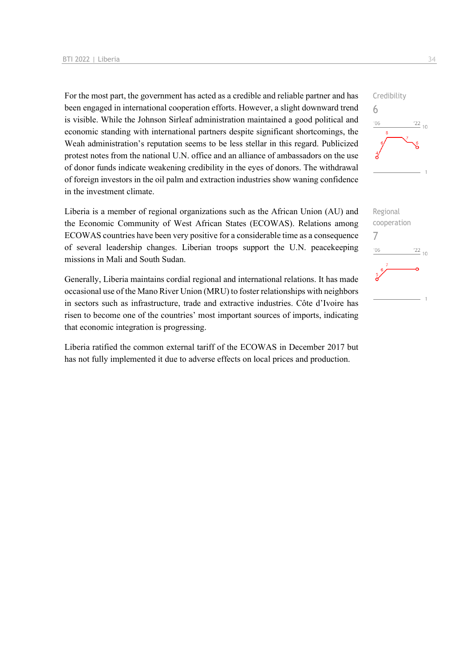For the most part, the government has acted as a credible and reliable partner and has been engaged in international cooperation efforts. However, a slight downward trend is visible. While the Johnson Sirleaf administration maintained a good political and economic standing with international partners despite significant shortcomings, the Weah administration's reputation seems to be less stellar in this regard. Publicized protest notes from the national U.N. office and an alliance of ambassadors on the use of donor funds indicate weakening credibility in the eyes of donors. The withdrawal of foreign investors in the oil palm and extraction industries show waning confidence in the investment climate.

Liberia is a member of regional organizations such as the African Union (AU) and the Economic Community of West African States (ECOWAS). Relations among ECOWAS countries have been very positive for a considerable time as a consequence of several leadership changes. Liberian troops support the U.N. peacekeeping missions in Mali and South Sudan.

Generally, Liberia maintains cordial regional and international relations. It has made occasional use of the Mano River Union (MRU) to foster relationships with neighbors in sectors such as infrastructure, trade and extractive industries. Côte d'Ivoire has risen to become one of the countries' most important sources of imports, indicating that economic integration is progressing.

Liberia ratified the common external tariff of the ECOWAS in December 2017 but has not fully implemented it due to adverse effects on local prices and production.



Credibility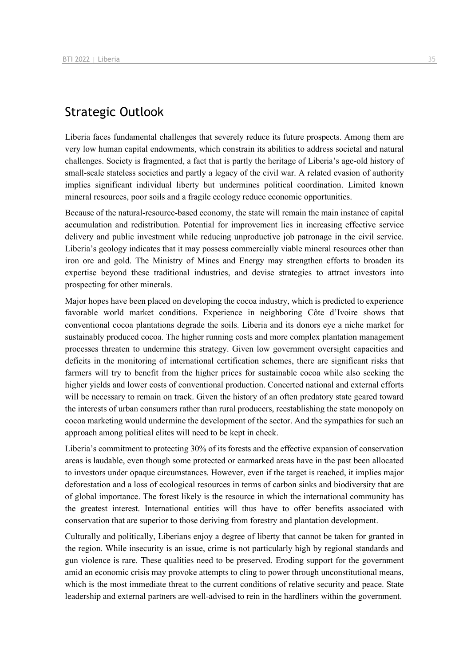### Strategic Outlook

Liberia faces fundamental challenges that severely reduce its future prospects. Among them are very low human capital endowments, which constrain its abilities to address societal and natural challenges. Society is fragmented, a fact that is partly the heritage of Liberia's age-old history of small-scale stateless societies and partly a legacy of the civil war. A related evasion of authority implies significant individual liberty but undermines political coordination. Limited known mineral resources, poor soils and a fragile ecology reduce economic opportunities.

Because of the natural-resource-based economy, the state will remain the main instance of capital accumulation and redistribution. Potential for improvement lies in increasing effective service delivery and public investment while reducing unproductive job patronage in the civil service. Liberia's geology indicates that it may possess commercially viable mineral resources other than iron ore and gold. The Ministry of Mines and Energy may strengthen efforts to broaden its expertise beyond these traditional industries, and devise strategies to attract investors into prospecting for other minerals.

Major hopes have been placed on developing the cocoa industry, which is predicted to experience favorable world market conditions. Experience in neighboring Côte d'Ivoire shows that conventional cocoa plantations degrade the soils. Liberia and its donors eye a niche market for sustainably produced cocoa. The higher running costs and more complex plantation management processes threaten to undermine this strategy. Given low government oversight capacities and deficits in the monitoring of international certification schemes, there are significant risks that farmers will try to benefit from the higher prices for sustainable cocoa while also seeking the higher yields and lower costs of conventional production. Concerted national and external efforts will be necessary to remain on track. Given the history of an often predatory state geared toward the interests of urban consumers rather than rural producers, reestablishing the state monopoly on cocoa marketing would undermine the development of the sector. And the sympathies for such an approach among political elites will need to be kept in check.

Liberia's commitment to protecting 30% of its forests and the effective expansion of conservation areas is laudable, even though some protected or earmarked areas have in the past been allocated to investors under opaque circumstances. However, even if the target is reached, it implies major deforestation and a loss of ecological resources in terms of carbon sinks and biodiversity that are of global importance. The forest likely is the resource in which the international community has the greatest interest. International entities will thus have to offer benefits associated with conservation that are superior to those deriving from forestry and plantation development.

Culturally and politically, Liberians enjoy a degree of liberty that cannot be taken for granted in the region. While insecurity is an issue, crime is not particularly high by regional standards and gun violence is rare. These qualities need to be preserved. Eroding support for the government amid an economic crisis may provoke attempts to cling to power through unconstitutional means, which is the most immediate threat to the current conditions of relative security and peace. State leadership and external partners are well-advised to rein in the hardliners within the government.